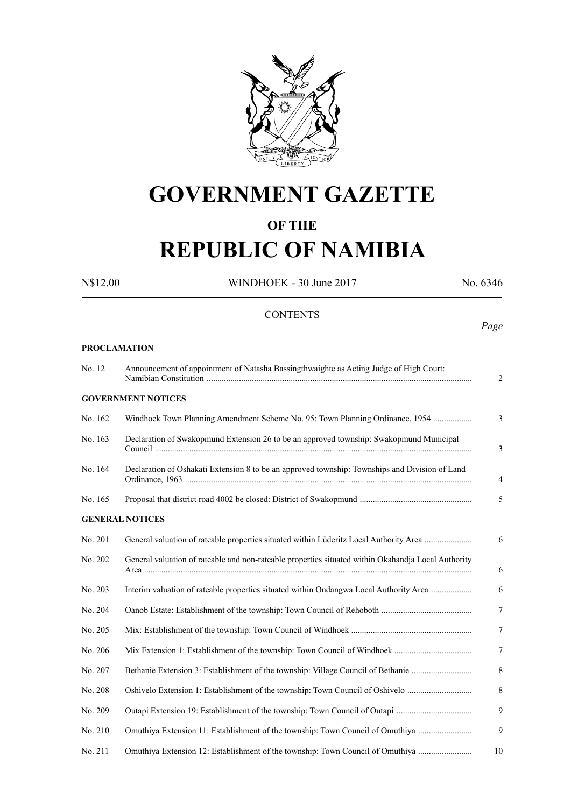

# **GOVERNMENT GAZETTE**

### **OF THE**

# **REPUBLIC OF NAMIBIA**

**PROCLAMATION**

N\$12.00 WINDHOEK - 30 June 2017 No. 6346

#### **CONTENTS**

*Page*

| No. 12  | Announcement of appointment of Natasha Bassingthwaighte as Acting Judge of High Court:              |                |  |  |  |
|---------|-----------------------------------------------------------------------------------------------------|----------------|--|--|--|
|         | <b>GOVERNMENT NOTICES</b>                                                                           |                |  |  |  |
| No. 162 | Windhoek Town Planning Amendment Scheme No. 95: Town Planning Ordinance, 1954                       | 3              |  |  |  |
| No. 163 | Declaration of Swakopmund Extension 26 to be an approved township: Swakopmund Municipal             | 3              |  |  |  |
| No. 164 | Declaration of Oshakati Extension 8 to be an approved township: Townships and Division of Land      | $\overline{4}$ |  |  |  |
| No. 165 |                                                                                                     | 5              |  |  |  |
|         | <b>GENERAL NOTICES</b>                                                                              |                |  |  |  |
| No. 201 | General valuation of rateable properties situated within Lüderitz Local Authority Area              | 6              |  |  |  |
| No. 202 | General valuation of rateable and non-rateable properties situated within Okahandja Local Authority | 6              |  |  |  |
| No. 203 | Interim valuation of rateable properties situated within Ondangwa Local Authority Area              | 6              |  |  |  |
| No. 204 |                                                                                                     | 7              |  |  |  |
| No. 205 |                                                                                                     | 7              |  |  |  |
| No. 206 |                                                                                                     | 7              |  |  |  |
| No. 207 | Bethanie Extension 3: Establishment of the township: Village Council of Bethanie                    | 8              |  |  |  |
| No. 208 | Oshivelo Extension 1: Establishment of the township: Town Council of Oshivelo                       | 8              |  |  |  |
| No. 209 | Outapi Extension 19: Establishment of the township: Town Council of Outapi                          | 9              |  |  |  |
| No. 210 | Omuthiya Extension 11: Establishment of the township: Town Council of Omuthiya                      | 9              |  |  |  |
| No. 211 | Omuthiya Extension 12: Establishment of the township: Town Council of Omuthiya                      | 10             |  |  |  |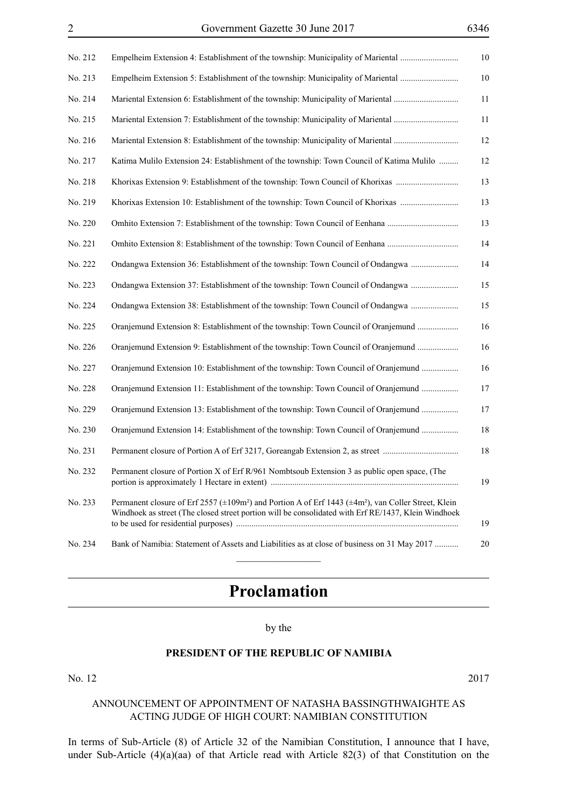| No. 212 | Empelheim Extension 4: Establishment of the township: Municipality of Mariental                                                                                                                                                    | $10\,$ |
|---------|------------------------------------------------------------------------------------------------------------------------------------------------------------------------------------------------------------------------------------|--------|
| No. 213 | Empelheim Extension 5: Establishment of the township: Municipality of Mariental                                                                                                                                                    | 10     |
| No. 214 | Mariental Extension 6: Establishment of the township: Municipality of Mariental                                                                                                                                                    | 11     |
| No. 215 | Mariental Extension 7: Establishment of the township: Municipality of Mariental                                                                                                                                                    | 11     |
| No. 216 | Mariental Extension 8: Establishment of the township: Municipality of Mariental                                                                                                                                                    | 12     |
| No. 217 | Katima Mulilo Extension 24: Establishment of the township: Town Council of Katima Mulilo                                                                                                                                           | 12     |
| No. 218 | Khorixas Extension 9: Establishment of the township: Town Council of Khorixas                                                                                                                                                      | 13     |
| No. 219 | Khorixas Extension 10: Establishment of the township: Town Council of Khorixas                                                                                                                                                     | 13     |
| No. 220 |                                                                                                                                                                                                                                    | 13     |
| No. 221 |                                                                                                                                                                                                                                    | 14     |
| No. 222 | Ondangwa Extension 36: Establishment of the township: Town Council of Ondangwa                                                                                                                                                     | 14     |
| No. 223 | Ondangwa Extension 37: Establishment of the township: Town Council of Ondangwa                                                                                                                                                     | 15     |
| No. 224 | Ondangwa Extension 38: Establishment of the township: Town Council of Ondangwa                                                                                                                                                     | 15     |
| No. 225 | Oranjemund Extension 8: Establishment of the township: Town Council of Oranjemund                                                                                                                                                  | 16     |
| No. 226 | Oranjemund Extension 9: Establishment of the township: Town Council of Oranjemund                                                                                                                                                  | 16     |
| No. 227 | Oranjemund Extension 10: Establishment of the township: Town Council of Oranjemund                                                                                                                                                 | 16     |
| No. 228 | Oranjemund Extension 11: Establishment of the township: Town Council of Oranjemund                                                                                                                                                 | 17     |
| No. 229 | Oranjemund Extension 13: Establishment of the township: Town Council of Oranjemund                                                                                                                                                 | 17     |
| No. 230 | Oranjemund Extension 14: Establishment of the township: Town Council of Oranjemund                                                                                                                                                 | 18     |
| No. 231 | Permanent closure of Portion A of Erf 3217, Goreangab Extension 2, as street                                                                                                                                                       | 18     |
| No. 232 | Permanent closure of Portion X of Erf R/961 Nombtsoub Extension 3 as public open space, (The                                                                                                                                       | 19     |
| No. 233 | Permanent closure of Erf 2557 (±109m <sup>2</sup> ) and Portion A of Erf 1443 (±4m <sup>2</sup> ), van Coller Street, Klein<br>Windhoek as street (The closed street portion will be consolidated with Erf RE/1437, Klein Windhoek | 19     |
| No. 234 | Bank of Namibia: Statement of Assets and Liabilities as at close of business on 31 May 2017                                                                                                                                        | 20     |

## **Proclamation**

#### by the

#### **PRESIDENT OF THE REPUBLIC OF NAMIBIA**

#### No. 12 2017

#### ANNOUNCEMENT OF APPOINTMENT OF NATASHA BASSINGTHWAIGHTE AS ACTING JUDGE OF HIGH COURT: NAMIBIAN CONSTITUTION

In terms of Sub-Article (8) of Article 32 of the Namibian Constitution, I announce that I have, under Sub-Article (4)(a)(aa) of that Article read with Article 82(3) of that Constitution on the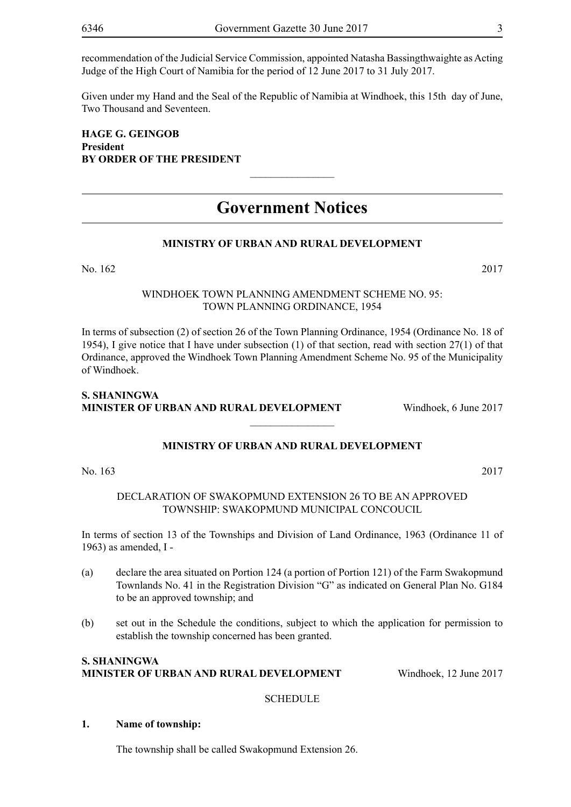recommendation of the Judicial Service Commission, appointed Natasha Bassingthwaighte as Acting Judge of the High Court of Namibia for the period of 12 June 2017 to 31 July 2017.

Given under my Hand and the Seal of the Republic of Namibia at Windhoek, this 15th day of June, Two Thousand and Seventeen.

**Hage G. Geingob President BY ORDER OF THE PRESIDENT**

### **Government Notices**

 $\frac{1}{2}$ 

#### **MINISTRY OF URBAN AND RURAL DEVELOPMENT**

No. 162 2017

#### WINDHOEK TOWN PLANNING AMENDMENT SCHEME NO. 95: TOWN PLANNING ORDINANCE, 1954

In terms of subsection (2) of section 26 of the Town Planning Ordinance, 1954 (Ordinance No. 18 of 1954), I give notice that I have under subsection (1) of that section, read with section 27(1) of that Ordinance, approved the Windhoek Town Planning Amendment Scheme No. 95 of the Municipality of Windhoek.

#### **S. Shaningwa Minister of Urban and Rural Development** Windhoek, 6 June 2017

#### **MINISTRY OF URBAN AND RURAL DEVELOPMENT**

 $\frac{1}{2}$ 

No. 163 2017

#### DECLARATION OF SWAKOPMUND EXTENSION 26 TO BE AN APPROVED TOWNSHIP: SWAKOPMUND MUNICIPAL CONCOUCIL

In terms of section 13 of the Townships and Division of Land Ordinance, 1963 (Ordinance 11 of 1963) as amended, I -

- (a) declare the area situated on Portion 124 (a portion of Portion 121) of the Farm Swakopmund Townlands No. 41 in the Registration Division "G" as indicated on General Plan No. G184 to be an approved township; and
- (b) set out in the Schedule the conditions, subject to which the application for permission to establish the township concerned has been granted.

#### **S. Shaningwa Minister of Urban and Rural Development** Windhoek, 12 June 2017

#### **SCHEDULE**

#### **1. Name of township:**

The township shall be called Swakopmund Extension 26.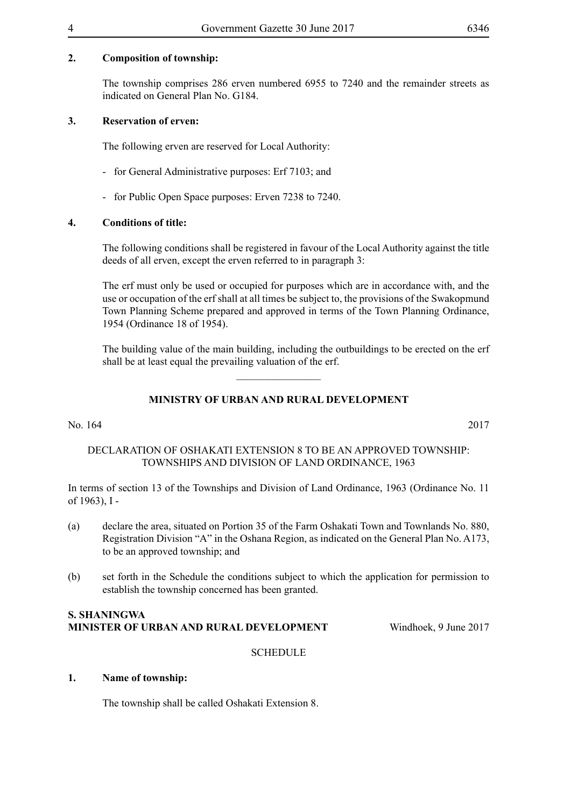#### **2. Composition of township:**

The township comprises 286 erven numbered 6955 to 7240 and the remainder streets as indicated on General Plan No. G184.

#### **3. Reservation of erven:**

The following erven are reserved for Local Authority:

- for General Administrative purposes: Erf 7103; and
- for Public Open Space purposes: Erven 7238 to 7240.

#### **4. Conditions of title:**

The following conditions shall be registered in favour of the Local Authority against the title deeds of all erven, except the erven referred to in paragraph 3:

The erf must only be used or occupied for purposes which are in accordance with, and the use or occupation of the erf shall at all times be subject to, the provisions of the Swakopmund Town Planning Scheme prepared and approved in terms of the Town Planning Ordinance, 1954 (Ordinance 18 of 1954).

The building value of the main building, including the outbuildings to be erected on the erf shall be at least equal the prevailing valuation of the erf.

#### **MINISTRY OF URBAN AND RURAL DEVELOPMENT**

 $\overline{\phantom{a}}$  , where  $\overline{\phantom{a}}$ 

#### No. 164 2017

#### DECLARATION OF OSHAKATI EXTENSION 8 TO BE AN APPROVED TOWNSHIP: TOWNSHIPS AND DIVISION OF LAND ORDINANCE, 1963

In terms of section 13 of the Townships and Division of Land Ordinance, 1963 (Ordinance No. 11 of 1963), I -

- (a) declare the area, situated on Portion 35 of the Farm Oshakati Town and Townlands No. 880, Registration Division "A" in the Oshana Region, as indicated on the General Plan No. A173, to be an approved township; and
- (b) set forth in the Schedule the conditions subject to which the application for permission to establish the township concerned has been granted.

**SCHEDULE** 

#### **S. Shaningwa Minister of Urban and Rural Development** Windhoek, 9 June 2017

#### **1. Name of township:**

The township shall be called Oshakati Extension 8.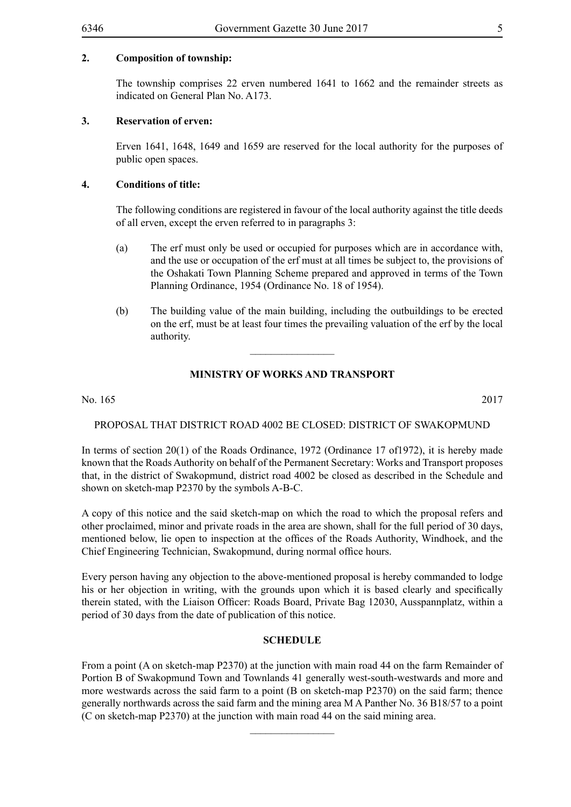#### **2. Composition of township:**

The township comprises 22 erven numbered 1641 to 1662 and the remainder streets as indicated on General Plan No. A173.

#### **3. Reservation of erven:**

Erven 1641, 1648, 1649 and 1659 are reserved for the local authority for the purposes of public open spaces.

#### **4. Conditions of title:**

The following conditions are registered in favour of the local authority against the title deeds of all erven, except the erven referred to in paragraphs 3:

- (a) The erf must only be used or occupied for purposes which are in accordance with, and the use or occupation of the erf must at all times be subject to, the provisions of the Oshakati Town Planning Scheme prepared and approved in terms of the Town Planning Ordinance, 1954 (Ordinance No. 18 of 1954).
- (b) The building value of the main building, including the outbuildings to be erected on the erf, must be at least four times the prevailing valuation of the erf by the local authority.

#### **MINISTRY OF WORKS AND TRANSPORT**

 $\overline{\phantom{a}}$  , where  $\overline{\phantom{a}}$ 

No. 165 2017

#### PROPOSAL THAT DISTRICT ROAD 4002 BE CLOSED: DISTRICT OF SWAKOPMUND

In terms of section 20(1) of the Roads Ordinance, 1972 (Ordinance 17 of1972), it is hereby made known that the Roads Authority on behalf of the Permanent Secretary: Works and Transport proposes that, in the district of Swakopmund, district road 4002 be closed as described in the Schedule and shown on sketch-map P2370 by the symbols A-B-C.

A copy of this notice and the said sketch-map on which the road to which the proposal refers and other proclaimed, minor and private roads in the area are shown, shall for the full period of 30 days, mentioned below, lie open to inspection at the offices of the Roads Authority, Windhoek, and the Chief Engineering Technician, Swakopmund, during normal office hours.

Every person having any objection to the above-mentioned proposal is hereby commanded to lodge his or her objection in writing, with the grounds upon which it is based clearly and specifically therein stated, with the Liaison Officer: Roads Board, Private Bag 12030, Ausspannplatz, within a period of 30 days from the date of publication of this notice.

#### **SCHEDULE**

From a point (A on sketch-map P2370) at the junction with main road 44 on the farm Remainder of Portion B of Swakopmund Town and Townlands 41 generally west-south-westwards and more and more westwards across the said farm to a point (B on sketch-map P2370) on the said farm; thence generally northwards across the said farm and the mining area M A Panther No. 36 B18/57 to a point (C on sketch-map P2370) at the junction with main road 44 on the said mining area.

 $\frac{1}{2}$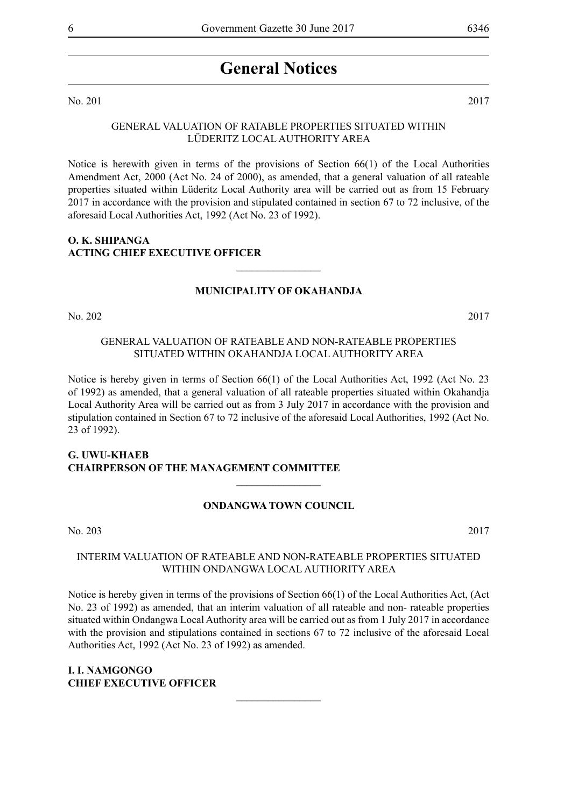### **General Notices**

No. 201 2017

#### GENERAL VALUATION OF RATABLE PROPERTIES SITUATED WITHIN LÜDERITZ LOCAL AUTHORITY AREA

Notice is herewith given in terms of the provisions of Section 66(1) of the Local Authorities Amendment Act, 2000 (Act No. 24 of 2000), as amended, that a general valuation of all rateable properties situated within Lüderitz Local Authority area will be carried out as from 15 February 2017 in accordance with the provision and stipulated contained in section 67 to 72 inclusive, of the aforesaid Local Authorities Act, 1992 (Act No. 23 of 1992).

#### **O. K. SHIPANGA ACTING CHIEF EXECUTIVE OFFICER**

#### **MUNICIPALITY OF OKAHANDJA**

 $\frac{1}{2}$ 

No. 202 2017

#### GENERAL VALUATION OF RATEABLE AND NON-RATEABLE PROPERTIES SITUATED WITHIN OKAHANDJA LOCAL AUTHORITY AREA

Notice is hereby given in terms of Section 66(1) of the Local Authorities Act, 1992 (Act No. 23 of 1992) as amended, that a general valuation of all rateable properties situated within Okahandja Local Authority Area will be carried out as from 3 July 2017 in accordance with the provision and stipulation contained in Section 67 to 72 inclusive of the aforesaid Local Authorities, 1992 (Act No. 23 of 1992).

#### **G. UWU-KHAEB CHAIRPERSON OF THE MANAGEMENT COMMITTEE**

#### **ONDANGWA TOWN COUNCIL**

 $\overline{\phantom{a}}$  , where  $\overline{\phantom{a}}$ 

No. 203 2017

#### INTERIM VALUATION OF RATEABLE AND NON-RATEABLE PROPERTIES SITUATED WITHIN ONDANGWA LOCAL AUTHORITY AREA

Notice is hereby given in terms of the provisions of Section 66(1) of the Local Authorities Act, (Act No. 23 of 1992) as amended, that an interim valuation of all rateable and non- rateable properties situated within Ondangwa Local Authority area will be carried out as from 1 July 2017 in accordance with the provision and stipulations contained in sections 67 to 72 inclusive of the aforesaid Local Authorities Act, 1992 (Act No. 23 of 1992) as amended.

 $\overline{\phantom{a}}$  , where  $\overline{\phantom{a}}$ 

#### **I. I. NAMGONGO CHIEF EXECUTIVE OFFICER**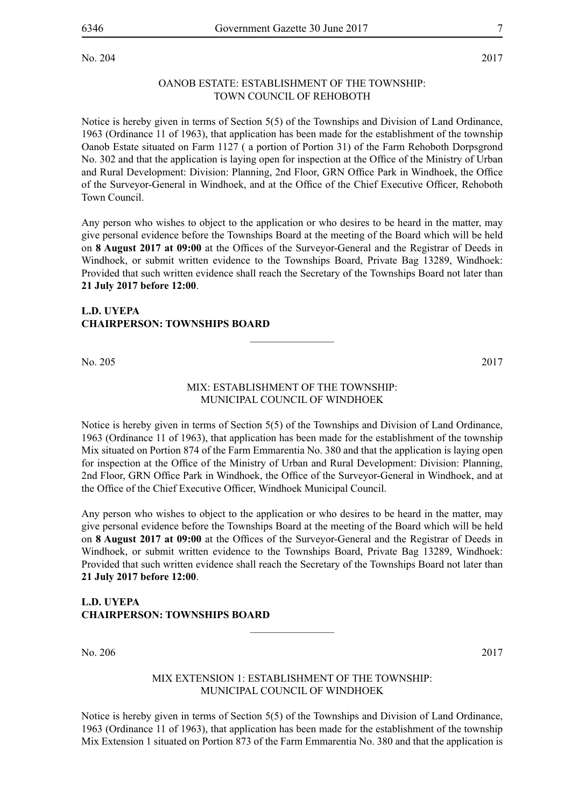#### OANOB ESTATE: ESTABLISHMENT OF THE TOWNSHIP: TOWN COUNCIL OF REHOBOTH

Notice is hereby given in terms of Section 5(5) of the Townships and Division of Land Ordinance, 1963 (Ordinance 11 of 1963), that application has been made for the establishment of the township Oanob Estate situated on Farm 1127 ( a portion of Portion 31) of the Farm Rehoboth Dorpsgrond No. 302 and that the application is laying open for inspection at the Office of the Ministry of Urban and Rural Development: Division: Planning, 2nd Floor, GRN Office Park in Windhoek, the Office of the Surveyor-General in Windhoek, and at the Office of the Chief Executive Officer, Rehoboth Town Council.

Any person who wishes to object to the application or who desires to be heard in the matter, may give personal evidence before the Townships Board at the meeting of the Board which will be held on **8 August 2017 at 09:00** at the Offices of the Surveyor-General and the Registrar of Deeds in Windhoek, or submit written evidence to the Townships Board, Private Bag 13289, Windhoek: Provided that such written evidence shall reach the Secretary of the Townships Board not later than **21 July 2017 before 12:00**.

#### **L.D. UYEPA CHAIRPERSON: TOWNSHIPS BOARD**

No. 205 2017

#### MIX: ESTABLISHMENT OF THE TOWNSHIP: MUNICIPAL COUNCIL OF WINDHOEK

 $\overline{\phantom{a}}$  , where  $\overline{\phantom{a}}$ 

Notice is hereby given in terms of Section 5(5) of the Townships and Division of Land Ordinance, 1963 (Ordinance 11 of 1963), that application has been made for the establishment of the township Mix situated on Portion 874 of the Farm Emmarentia No. 380 and that the application is laying open for inspection at the Office of the Ministry of Urban and Rural Development: Division: Planning, 2nd Floor, GRN Office Park in Windhoek, the Office of the Surveyor-General in Windhoek, and at the Office of the Chief Executive Officer, Windhoek Municipal Council.

Any person who wishes to object to the application or who desires to be heard in the matter, may give personal evidence before the Townships Board at the meeting of the Board which will be held on **8 August 2017 at 09:00** at the Offices of the Surveyor-General and the Registrar of Deeds in Windhoek, or submit written evidence to the Townships Board, Private Bag 13289, Windhoek: Provided that such written evidence shall reach the Secretary of the Townships Board not later than **21 July 2017 before 12:00**.

#### **L.D. UYEPA CHAIRPERSON: TOWNSHIPS BOARD**

No. 206 2017

#### MIX EXTENSION 1: ESTABLISHMENT OF THE TOWNSHIP: MUNICIPAL COUNCIL OF WINDHOEK

 $\overline{\phantom{a}}$  , where  $\overline{\phantom{a}}$ 

Notice is hereby given in terms of Section 5(5) of the Townships and Division of Land Ordinance, 1963 (Ordinance 11 of 1963), that application has been made for the establishment of the township Mix Extension 1 situated on Portion 873 of the Farm Emmarentia No. 380 and that the application is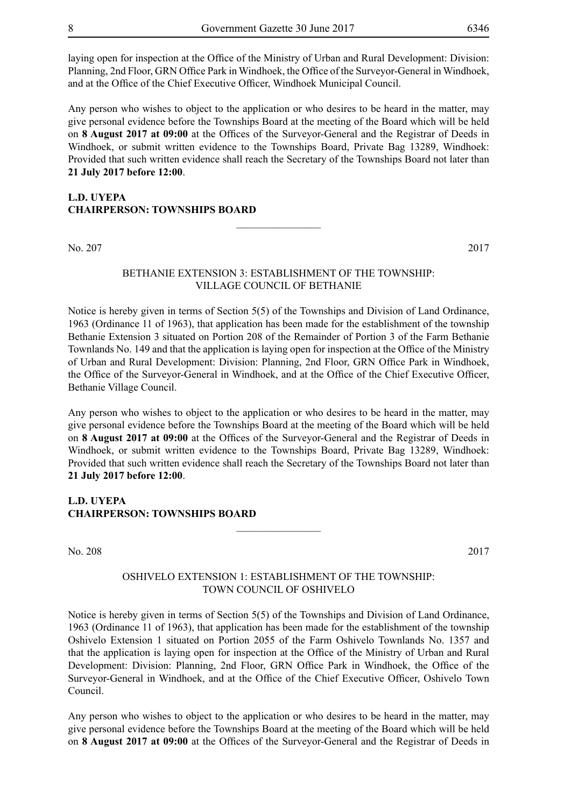laying open for inspection at the Office of the Ministry of Urban and Rural Development: Division: Planning, 2nd Floor, GRN Office Park in Windhoek, the Office of the Surveyor-General in Windhoek, and at the Office of the Chief Executive Officer, Windhoek Municipal Council.

Any person who wishes to object to the application or who desires to be heard in the matter, may give personal evidence before the Townships Board at the meeting of the Board which will be held on **8 August 2017 at 09:00** at the Offices of the Surveyor-General and the Registrar of Deeds in Windhoek, or submit written evidence to the Townships Board, Private Bag 13289, Windhoek: Provided that such written evidence shall reach the Secretary of the Townships Board not later than **21 July 2017 before 12:00**.

#### **L.D. UYEPA CHAIRPERSON: TOWNSHIPS BOARD**

No. 207 2017

#### BETHANIE EXTENSION 3: ESTABLISHMENT OF THE TOWNSHIP: VILLAGE COUNCIL OF BETHANIE

 $\overline{\phantom{a}}$  , where  $\overline{\phantom{a}}$ 

Notice is hereby given in terms of Section 5(5) of the Townships and Division of Land Ordinance, 1963 (Ordinance 11 of 1963), that application has been made for the establishment of the township Bethanie Extension 3 situated on Portion 208 of the Remainder of Portion 3 of the Farm Bethanie Townlands No. 149 and that the application is laying open for inspection at the Office of the Ministry of Urban and Rural Development: Division: Planning, 2nd Floor, GRN Office Park in Windhoek, the Office of the Surveyor-General in Windhoek, and at the Office of the Chief Executive Officer, Bethanie Village Council.

Any person who wishes to object to the application or who desires to be heard in the matter, may give personal evidence before the Townships Board at the meeting of the Board which will be held on **8 August 2017 at 09:00** at the Offices of the Surveyor-General and the Registrar of Deeds in Windhoek, or submit written evidence to the Townships Board, Private Bag 13289, Windhoek: Provided that such written evidence shall reach the Secretary of the Townships Board not later than **21 July 2017 before 12:00**.

#### **L.D. UYEPA CHAIRPERSON: TOWNSHIPS BOARD**

No. 208 2017

#### OSHIVELO EXTENSION 1: ESTABLISHMENT OF THE TOWNSHIP: TOWN COUNCIL OF Oshivelo

 $\frac{1}{2}$ 

Notice is hereby given in terms of Section 5(5) of the Townships and Division of Land Ordinance, 1963 (Ordinance 11 of 1963), that application has been made for the establishment of the township Oshivelo Extension 1 situated on Portion 2055 of the Farm Oshivelo Townlands No. 1357 and that the application is laying open for inspection at the Office of the Ministry of Urban and Rural Development: Division: Planning, 2nd Floor, GRN Office Park in Windhoek, the Office of the Surveyor-General in Windhoek, and at the Office of the Chief Executive Officer, Oshivelo Town Council.

Any person who wishes to object to the application or who desires to be heard in the matter, may give personal evidence before the Townships Board at the meeting of the Board which will be held on **8 August 2017 at 09:00** at the Offices of the Surveyor-General and the Registrar of Deeds in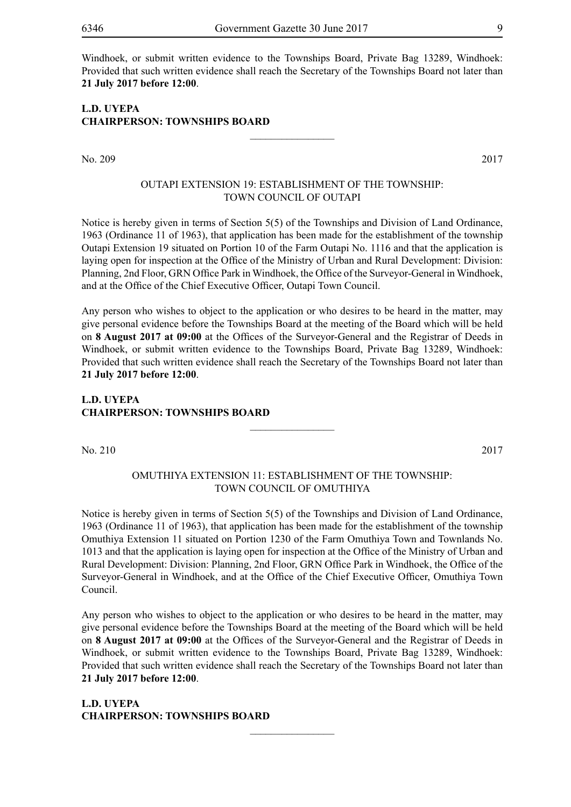Windhoek, or submit written evidence to the Townships Board, Private Bag 13289, Windhoek: Provided that such written evidence shall reach the Secretary of the Townships Board not later than **21 July 2017 before 12:00**.

#### **L.D. UYEPA CHAIRPERSON: TOWNSHIPS BOARD**

No. 209 2017

#### OUTAPI EXTENSION 19: ESTABLISHMENT OF THE TOWNSHIP: TOWN COUNCIL OF OUTAPI

 $\frac{1}{2}$ 

Notice is hereby given in terms of Section 5(5) of the Townships and Division of Land Ordinance, 1963 (Ordinance 11 of 1963), that application has been made for the establishment of the township Outapi Extension 19 situated on Portion 10 of the Farm Outapi No. 1116 and that the application is laying open for inspection at the Office of the Ministry of Urban and Rural Development: Division: Planning, 2nd Floor, GRN Office Park in Windhoek, the Office of the Surveyor-General in Windhoek, and at the Office of the Chief Executive Officer, Outapi Town Council.

Any person who wishes to object to the application or who desires to be heard in the matter, may give personal evidence before the Townships Board at the meeting of the Board which will be held on **8 August 2017 at 09:00** at the Offices of the Surveyor-General and the Registrar of Deeds in Windhoek, or submit written evidence to the Townships Board, Private Bag 13289, Windhoek: Provided that such written evidence shall reach the Secretary of the Townships Board not later than **21 July 2017 before 12:00**.

#### **L.D. UYEPA CHAIRPERSON: TOWNSHIPS BOARD**

No. 210 2017

#### OMUTHIYA EXTENSION 11: ESTABLISHMENT OF THE TOWNSHIP: TOWN COUNCIL OF OMUTHIYA

 $\frac{1}{2}$ 

Notice is hereby given in terms of Section 5(5) of the Townships and Division of Land Ordinance, 1963 (Ordinance 11 of 1963), that application has been made for the establishment of the township Omuthiya Extension 11 situated on Portion 1230 of the Farm Omuthiya Town and Townlands No. 1013 and that the application is laying open for inspection at the Office of the Ministry of Urban and Rural Development: Division: Planning, 2nd Floor, GRN Office Park in Windhoek, the Office of the Surveyor-General in Windhoek, and at the Office of the Chief Executive Officer, Omuthiya Town Council.

Any person who wishes to object to the application or who desires to be heard in the matter, may give personal evidence before the Townships Board at the meeting of the Board which will be held on **8 August 2017 at 09:00** at the Offices of the Surveyor-General and the Registrar of Deeds in Windhoek, or submit written evidence to the Townships Board, Private Bag 13289, Windhoek: Provided that such written evidence shall reach the Secretary of the Townships Board not later than **21 July 2017 before 12:00**.

 $\frac{1}{2}$ 

**L.D. UYEPA CHAIRPERSON: TOWNSHIPS BOARD**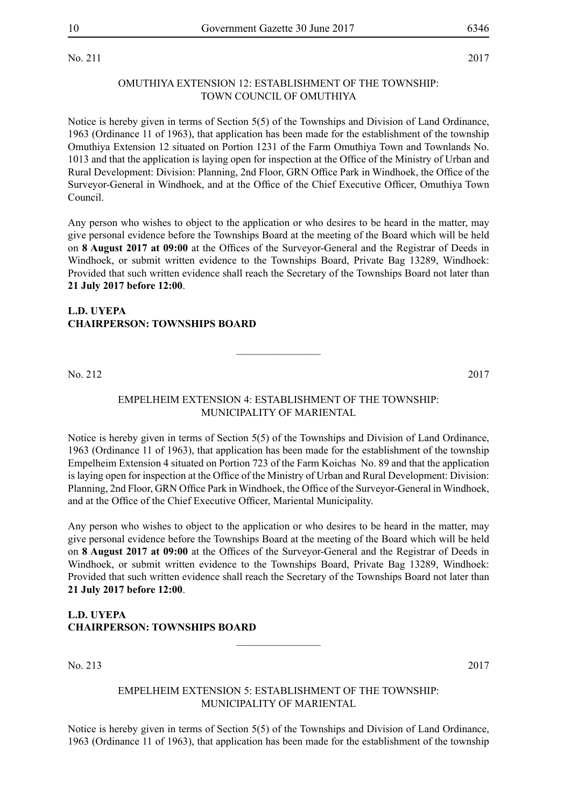No. 211 2017

#### OMUTHIYA EXTENSION 12: ESTABLISHMENT OF THE TOWNSHIP: TOWN COUNCIL OF OMUTHIYA

Notice is hereby given in terms of Section 5(5) of the Townships and Division of Land Ordinance, 1963 (Ordinance 11 of 1963), that application has been made for the establishment of the township Omuthiya Extension 12 situated on Portion 1231 of the Farm Omuthiya Town and Townlands No. 1013 and that the application is laying open for inspection at the Office of the Ministry of Urban and Rural Development: Division: Planning, 2nd Floor, GRN Office Park in Windhoek, the Office of the Surveyor-General in Windhoek, and at the Office of the Chief Executive Officer, Omuthiya Town Council.

Any person who wishes to object to the application or who desires to be heard in the matter, may give personal evidence before the Townships Board at the meeting of the Board which will be held on **8 August 2017 at 09:00** at the Offices of the Surveyor-General and the Registrar of Deeds in Windhoek, or submit written evidence to the Townships Board, Private Bag 13289, Windhoek: Provided that such written evidence shall reach the Secretary of the Townships Board not later than **21 July 2017 before 12:00**.

#### **L.D. UYEPA CHAIRPERSON: TOWNSHIPS BOARD**

No. 212 2017

#### EMPELHEIM EXTENSION 4: ESTABLISHMENT OF THE TOWNSHIP: MUNICIPALITY OF MARIENTAL

 $\frac{1}{2}$ 

Notice is hereby given in terms of Section 5(5) of the Townships and Division of Land Ordinance, 1963 (Ordinance 11 of 1963), that application has been made for the establishment of the township Empelheim Extension 4 situated on Portion 723 of the Farm Koichas No. 89 and that the application is laying open for inspection at the Office of the Ministry of Urban and Rural Development: Division: Planning, 2nd Floor, GRN Office Park in Windhoek, the Office of the Surveyor-General in Windhoek, and at the Office of the Chief Executive Officer, Mariental Municipality.

Any person who wishes to object to the application or who desires to be heard in the matter, may give personal evidence before the Townships Board at the meeting of the Board which will be held on **8 August 2017 at 09:00** at the Offices of the Surveyor-General and the Registrar of Deeds in Windhoek, or submit written evidence to the Townships Board, Private Bag 13289, Windhoek: Provided that such written evidence shall reach the Secretary of the Townships Board not later than **21 July 2017 before 12:00**.

#### **L.D. UYEPA CHAIRPERSON: TOWNSHIPS BOARD**

No. 213 2017

#### EMPELHEIM EXTENSION 5: ESTABLISHMENT OF THE TOWNSHIP: MUNICIPALITY OF MARIENTAL

 $\overline{\phantom{a}}$  , where  $\overline{\phantom{a}}$ 

Notice is hereby given in terms of Section 5(5) of the Townships and Division of Land Ordinance, 1963 (Ordinance 11 of 1963), that application has been made for the establishment of the township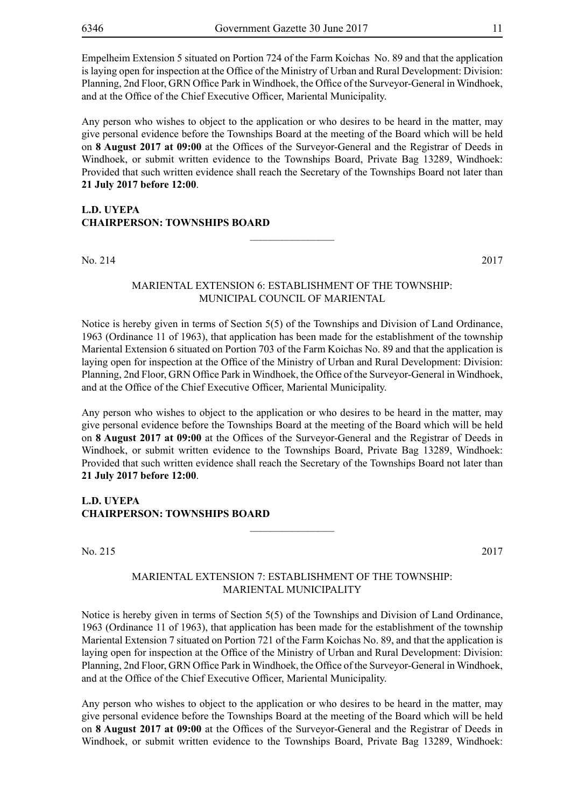Empelheim Extension 5 situated on Portion 724 of the Farm Koichas No. 89 and that the application is laying open for inspection at the Office of the Ministry of Urban and Rural Development: Division: Planning, 2nd Floor, GRN Office Park in Windhoek, the Office of the Surveyor-General in Windhoek, and at the Office of the Chief Executive Officer, Mariental Municipality.

Any person who wishes to object to the application or who desires to be heard in the matter, may give personal evidence before the Townships Board at the meeting of the Board which will be held on **8 August 2017 at 09:00** at the Offices of the Surveyor-General and the Registrar of Deeds in Windhoek, or submit written evidence to the Townships Board, Private Bag 13289, Windhoek: Provided that such written evidence shall reach the Secretary of the Townships Board not later than **21 July 2017 before 12:00**.

#### **L.D. UYEPA CHAIRPERSON: TOWNSHIPS BOARD**

No. 214 2017

#### MARIENTAL EXTENSION 6: ESTABLISHMENT OF THE TOWNSHIP: MUNICIPAL COUNCIL OF MARIENTAL

 $\frac{1}{2}$ 

Notice is hereby given in terms of Section 5(5) of the Townships and Division of Land Ordinance, 1963 (Ordinance 11 of 1963), that application has been made for the establishment of the township Mariental Extension 6 situated on Portion 703 of the Farm Koichas No. 89 and that the application is laying open for inspection at the Office of the Ministry of Urban and Rural Development: Division: Planning, 2nd Floor, GRN Office Park in Windhoek, the Office of the Surveyor-General in Windhoek, and at the Office of the Chief Executive Officer, Mariental Municipality.

Any person who wishes to object to the application or who desires to be heard in the matter, may give personal evidence before the Townships Board at the meeting of the Board which will be held on **8 August 2017 at 09:00** at the Offices of the Surveyor-General and the Registrar of Deeds in Windhoek, or submit written evidence to the Townships Board, Private Bag 13289, Windhoek: Provided that such written evidence shall reach the Secretary of the Townships Board not later than **21 July 2017 before 12:00**.

**L.D. UYEPA CHAIRPERSON: TOWNSHIPS BOARD**

No. 215 2017

#### MARIENTAL EXTENSION 7: ESTABLISHMENT OF THE TOWNSHIP: MARIENTAL MUNICIPALITY

 $\frac{1}{2}$ 

Notice is hereby given in terms of Section 5(5) of the Townships and Division of Land Ordinance, 1963 (Ordinance 11 of 1963), that application has been made for the establishment of the township Mariental Extension 7 situated on Portion 721 of the Farm Koichas No. 89, and that the application is laying open for inspection at the Office of the Ministry of Urban and Rural Development: Division: Planning, 2nd Floor, GRN Office Park in Windhoek, the Office of the Surveyor-General in Windhoek, and at the Office of the Chief Executive Officer, Mariental Municipality.

Any person who wishes to object to the application or who desires to be heard in the matter, may give personal evidence before the Townships Board at the meeting of the Board which will be held on **8 August 2017 at 09:00** at the Offices of the Surveyor-General and the Registrar of Deeds in Windhoek, or submit written evidence to the Townships Board, Private Bag 13289, Windhoek: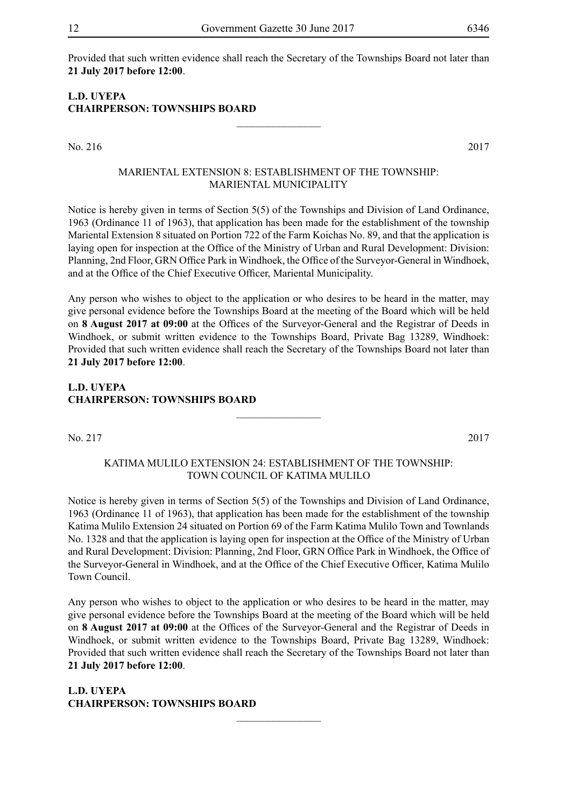Provided that such written evidence shall reach the Secretary of the Townships Board not later than **21 July 2017 before 12:00**.

#### **L.D. UYEPA CHAIRPERSON: TOWNSHIPS BOARD**

No. 216 2017

#### MARIENTAL EXTENSION 8: ESTABLISHMENT OF THE TOWNSHIP: MARIENTAL MUNICIPALITY

 $\frac{1}{2}$ 

Notice is hereby given in terms of Section 5(5) of the Townships and Division of Land Ordinance, 1963 (Ordinance 11 of 1963), that application has been made for the establishment of the township Mariental Extension 8 situated on Portion 722 of the Farm Koichas No. 89, and that the application is laying open for inspection at the Office of the Ministry of Urban and Rural Development: Division: Planning, 2nd Floor, GRN Office Park in Windhoek, the Office of the Surveyor-General in Windhoek, and at the Office of the Chief Executive Officer, Mariental Municipality.

Any person who wishes to object to the application or who desires to be heard in the matter, may give personal evidence before the Townships Board at the meeting of the Board which will be held on **8 August 2017 at 09:00** at the Offices of the Surveyor-General and the Registrar of Deeds in Windhoek, or submit written evidence to the Townships Board, Private Bag 13289, Windhoek: Provided that such written evidence shall reach the Secretary of the Townships Board not later than **21 July 2017 before 12:00**.

#### **L.D. UYEPA CHAIRPERSON: TOWNSHIPS BOARD**

No. 217 2017

#### KATIMA MULILO EXTENSION 24: ESTABLISHMENT OF THE TOWNSHIP: TOWN COUNCIL OF KATIMA MULILO

 $\frac{1}{2}$ 

Notice is hereby given in terms of Section 5(5) of the Townships and Division of Land Ordinance, 1963 (Ordinance 11 of 1963), that application has been made for the establishment of the township Katima Mulilo Extension 24 situated on Portion 69 of the Farm Katima Mulilo Town and Townlands No. 1328 and that the application is laying open for inspection at the Office of the Ministry of Urban and Rural Development: Division: Planning, 2nd Floor, GRN Office Park in Windhoek, the Office of the Surveyor-General in Windhoek, and at the Office of the Chief Executive Officer, Katima Mulilo Town Council.

Any person who wishes to object to the application or who desires to be heard in the matter, may give personal evidence before the Townships Board at the meeting of the Board which will be held on **8 August 2017 at 09:00** at the Offices of the Surveyor-General and the Registrar of Deeds in Windhoek, or submit written evidence to the Townships Board, Private Bag 13289, Windhoek: Provided that such written evidence shall reach the Secretary of the Townships Board not later than **21 July 2017 before 12:00**.

 $\frac{1}{2}$ 

**L.D. UYEPA CHAIRPERSON: TOWNSHIPS BOARD**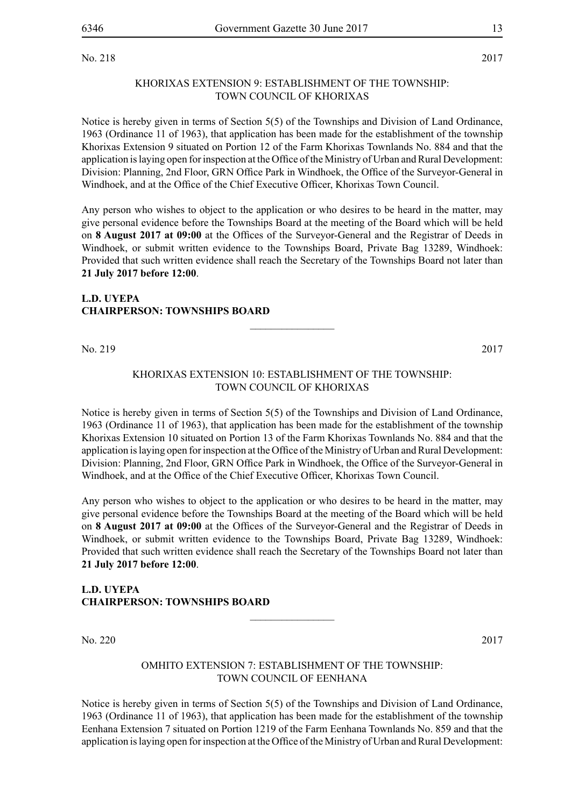No. 218 2017

#### KHORIXAS EXTENSION 9: ESTABLISHMENT OF THE TOWNSHIP: TOWN COUNCIL OF KHORIXAS

Notice is hereby given in terms of Section 5(5) of the Townships and Division of Land Ordinance, 1963 (Ordinance 11 of 1963), that application has been made for the establishment of the township Khorixas Extension 9 situated on Portion 12 of the Farm Khorixas Townlands No. 884 and that the application is laying open for inspection at the Office of the Ministry of Urban and Rural Development: Division: Planning, 2nd Floor, GRN Office Park in Windhoek, the Office of the Surveyor-General in Windhoek, and at the Office of the Chief Executive Officer, Khorixas Town Council.

Any person who wishes to object to the application or who desires to be heard in the matter, may give personal evidence before the Townships Board at the meeting of the Board which will be held on **8 August 2017 at 09:00** at the Offices of the Surveyor-General and the Registrar of Deeds in Windhoek, or submit written evidence to the Townships Board, Private Bag 13289, Windhoek: Provided that such written evidence shall reach the Secretary of the Townships Board not later than **21 July 2017 before 12:00**.

#### **L.D. UYEPA CHAIRPERSON: TOWNSHIPS BOARD**

No. 219 2017

#### KHORIXAS EXTENSION 10: ESTABLISHMENT OF THE TOWNSHIP: TOWN COUNCIL OF KHORIXAS

 $\overline{\phantom{a}}$  , where  $\overline{\phantom{a}}$ 

Notice is hereby given in terms of Section 5(5) of the Townships and Division of Land Ordinance, 1963 (Ordinance 11 of 1963), that application has been made for the establishment of the township Khorixas Extension 10 situated on Portion 13 of the Farm Khorixas Townlands No. 884 and that the application is laying open for inspection at the Office of the Ministry of Urban and Rural Development: Division: Planning, 2nd Floor, GRN Office Park in Windhoek, the Office of the Surveyor-General in Windhoek, and at the Office of the Chief Executive Officer, Khorixas Town Council.

Any person who wishes to object to the application or who desires to be heard in the matter, may give personal evidence before the Townships Board at the meeting of the Board which will be held on **8 August 2017 at 09:00** at the Offices of the Surveyor-General and the Registrar of Deeds in Windhoek, or submit written evidence to the Townships Board, Private Bag 13289, Windhoek: Provided that such written evidence shall reach the Secretary of the Townships Board not later than **21 July 2017 before 12:00**.

#### **L.D. UYEPA CHAIRPERSON: TOWNSHIPS BOARD**

No. 220 2017

#### OMHITO EXTENSION 7: ESTABLISHMENT OF THE TOWNSHIP: TOWN COUNCIL OF EENHANA

 $\frac{1}{2}$ 

Notice is hereby given in terms of Section 5(5) of the Townships and Division of Land Ordinance, 1963 (Ordinance 11 of 1963), that application has been made for the establishment of the township Eenhana Extension 7 situated on Portion 1219 of the Farm Eenhana Townlands No. 859 and that the application is laying open for inspection at the Office of the Ministry of Urban and Rural Development: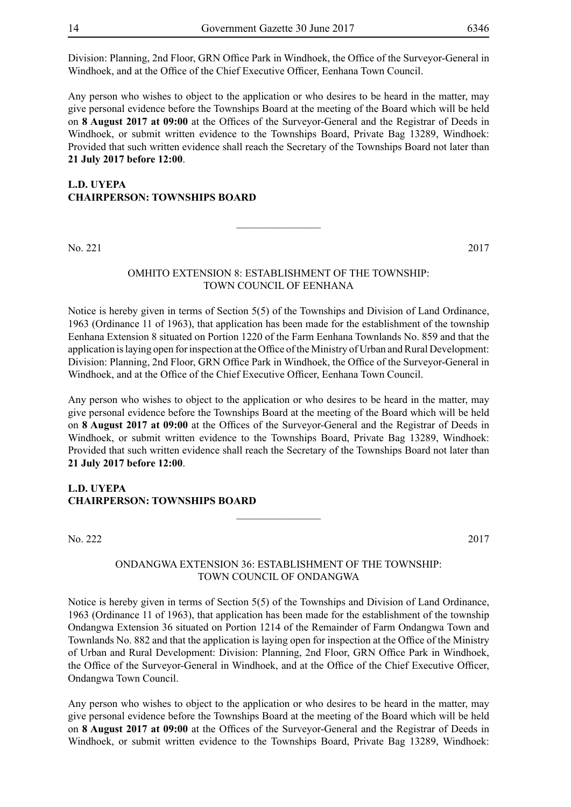Division: Planning, 2nd Floor, GRN Office Park in Windhoek, the Office of the Surveyor-General in Windhoek, and at the Office of the Chief Executive Officer, Eenhana Town Council.

Any person who wishes to object to the application or who desires to be heard in the matter, may give personal evidence before the Townships Board at the meeting of the Board which will be held on **8 August 2017 at 09:00** at the Offices of the Surveyor-General and the Registrar of Deeds in Windhoek, or submit written evidence to the Townships Board, Private Bag 13289, Windhoek: Provided that such written evidence shall reach the Secretary of the Townships Board not later than **21 July 2017 before 12:00**.

#### **L.D. UYEPA CHAIRPERSON: TOWNSHIPS BOARD**

No. 221 2017

#### OMHITO EXTENSION 8: ESTABLISHMENT OF THE TOWNSHIP: TOWN COUNCIL OF EENHANA

 $\overline{\phantom{a}}$  , where  $\overline{\phantom{a}}$ 

Notice is hereby given in terms of Section 5(5) of the Townships and Division of Land Ordinance, 1963 (Ordinance 11 of 1963), that application has been made for the establishment of the township Eenhana Extension 8 situated on Portion 1220 of the Farm Eenhana Townlands No. 859 and that the application is laying open for inspection at the Office of the Ministry of Urban and Rural Development: Division: Planning, 2nd Floor, GRN Office Park in Windhoek, the Office of the Surveyor-General in Windhoek, and at the Office of the Chief Executive Officer, Eenhana Town Council.

Any person who wishes to object to the application or who desires to be heard in the matter, may give personal evidence before the Townships Board at the meeting of the Board which will be held on **8 August 2017 at 09:00** at the Offices of the Surveyor-General and the Registrar of Deeds in Windhoek, or submit written evidence to the Townships Board, Private Bag 13289, Windhoek: Provided that such written evidence shall reach the Secretary of the Townships Board not later than **21 July 2017 before 12:00**.

#### **L.D. UYEPA CHAIRPERSON: TOWNSHIPS BOARD**

No. 222 2017

#### ONDANGWA EXTENSION 36: ESTABLISHMENT OF THE TOWNSHIP: TOWN COUNCIL OF ONDANGWA

 $\overline{\phantom{a}}$  , where  $\overline{\phantom{a}}$ 

Notice is hereby given in terms of Section 5(5) of the Townships and Division of Land Ordinance, 1963 (Ordinance 11 of 1963), that application has been made for the establishment of the township Ondangwa Extension 36 situated on Portion 1214 of the Remainder of Farm Ondangwa Town and Townlands No. 882 and that the application is laying open for inspection at the Office of the Ministry of Urban and Rural Development: Division: Planning, 2nd Floor, GRN Office Park in Windhoek, the Office of the Surveyor-General in Windhoek, and at the Office of the Chief Executive Officer, Ondangwa Town Council.

Any person who wishes to object to the application or who desires to be heard in the matter, may give personal evidence before the Townships Board at the meeting of the Board which will be held on **8 August 2017 at 09:00** at the Offices of the Surveyor-General and the Registrar of Deeds in Windhoek, or submit written evidence to the Townships Board, Private Bag 13289, Windhoek: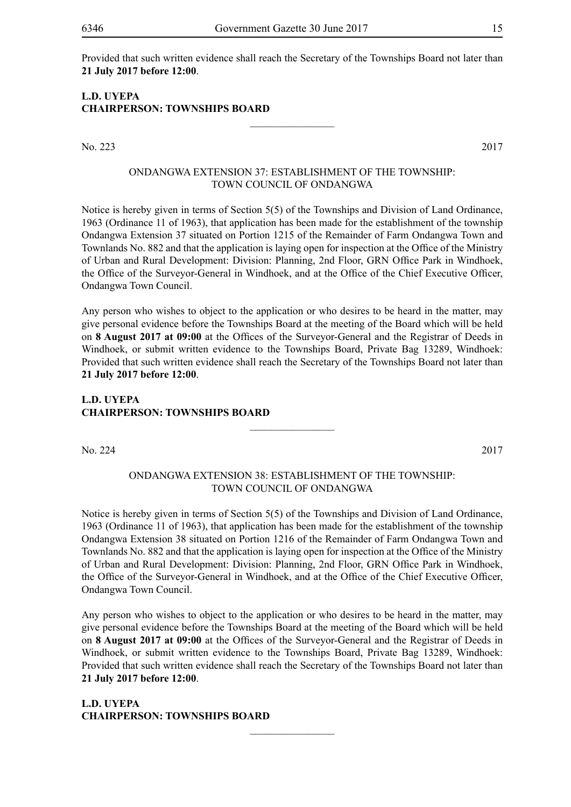Provided that such written evidence shall reach the Secretary of the Townships Board not later than **21 July 2017 before 12:00**.

 $\frac{1}{2}$ 

#### **L.D. UYEPA CHAIRPERSON: TOWNSHIPS BOARD**

No. 223 2017

#### ONDANGWA EXTENSION 37: ESTABLISHMENT OF THE TOWNSHIP: TOWN COUNCIL OF ONDANGWA

Notice is hereby given in terms of Section 5(5) of the Townships and Division of Land Ordinance, 1963 (Ordinance 11 of 1963), that application has been made for the establishment of the township Ondangwa Extension 37 situated on Portion 1215 of the Remainder of Farm Ondangwa Town and Townlands No. 882 and that the application is laying open for inspection at the Office of the Ministry of Urban and Rural Development: Division: Planning, 2nd Floor, GRN Office Park in Windhoek, the Office of the Surveyor-General in Windhoek, and at the Office of the Chief Executive Officer, Ondangwa Town Council.

Any person who wishes to object to the application or who desires to be heard in the matter, may give personal evidence before the Townships Board at the meeting of the Board which will be held on **8 August 2017 at 09:00** at the Offices of the Surveyor-General and the Registrar of Deeds in Windhoek, or submit written evidence to the Townships Board, Private Bag 13289, Windhoek: Provided that such written evidence shall reach the Secretary of the Townships Board not later than **21 July 2017 before 12:00**.

#### **L.D. UYEPA CHAIRPERSON: TOWNSHIPS BOARD**

No. 224 2017

#### ONDANGWA EXTENSION 38: ESTABLISHMENT OF THE TOWNSHIP: TOWN COUNCIL OF ONDANGWA

 $\frac{1}{2}$ 

Notice is hereby given in terms of Section 5(5) of the Townships and Division of Land Ordinance, 1963 (Ordinance 11 of 1963), that application has been made for the establishment of the township Ondangwa Extension 38 situated on Portion 1216 of the Remainder of Farm Ondangwa Town and Townlands No. 882 and that the application is laying open for inspection at the Office of the Ministry of Urban and Rural Development: Division: Planning, 2nd Floor, GRN Office Park in Windhoek, the Office of the Surveyor-General in Windhoek, and at the Office of the Chief Executive Officer, Ondangwa Town Council.

Any person who wishes to object to the application or who desires to be heard in the matter, may give personal evidence before the Townships Board at the meeting of the Board which will be held on **8 August 2017 at 09:00** at the Offices of the Surveyor-General and the Registrar of Deeds in Windhoek, or submit written evidence to the Townships Board, Private Bag 13289, Windhoek: Provided that such written evidence shall reach the Secretary of the Townships Board not later than **21 July 2017 before 12:00**.

 $\frac{1}{2}$ 

**L.D. UYEPA CHAIRPERSON: TOWNSHIPS BOARD**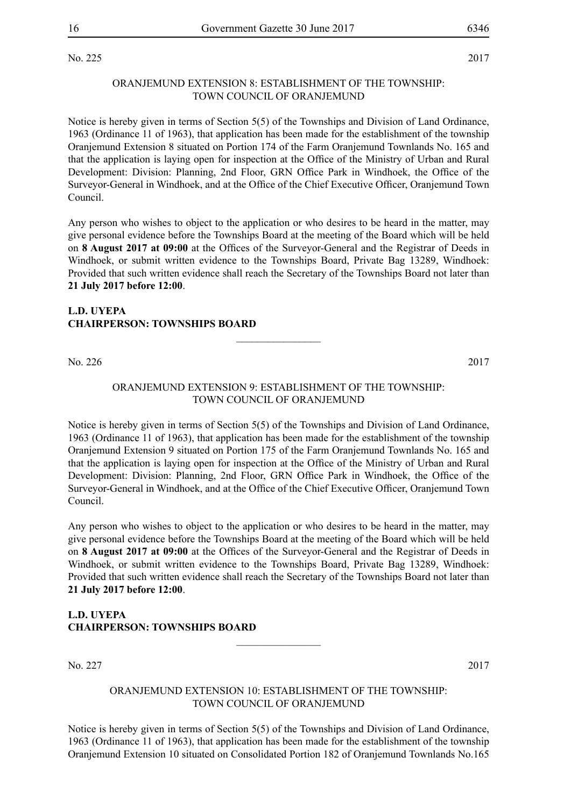#### ORANJEMUND EXTENSION 8: ESTABLISHMENT OF THE TOWNSHIP: TOWN COUNCIL OF ORANJEMUND

Notice is hereby given in terms of Section 5(5) of the Townships and Division of Land Ordinance, 1963 (Ordinance 11 of 1963), that application has been made for the establishment of the township Oranjemund Extension 8 situated on Portion 174 of the Farm Oranjemund Townlands No. 165 and that the application is laying open for inspection at the Office of the Ministry of Urban and Rural Development: Division: Planning, 2nd Floor, GRN Office Park in Windhoek, the Office of the Surveyor-General in Windhoek, and at the Office of the Chief Executive Officer, Oranjemund Town Council.

Any person who wishes to object to the application or who desires to be heard in the matter, may give personal evidence before the Townships Board at the meeting of the Board which will be held on **8 August 2017 at 09:00** at the Offices of the Surveyor-General and the Registrar of Deeds in Windhoek, or submit written evidence to the Townships Board, Private Bag 13289, Windhoek: Provided that such written evidence shall reach the Secretary of the Townships Board not later than **21 July 2017 before 12:00**.

#### **L.D. UYEPA CHAIRPERSON: TOWNSHIPS BOARD**

No. 226 2017

#### ORANJEMUND EXTENSION 9: ESTABLISHMENT OF THE TOWNSHIP: TOWN COUNCIL OF ORANJEMUND

 $\overline{\phantom{a}}$  , where  $\overline{\phantom{a}}$ 

Notice is hereby given in terms of Section 5(5) of the Townships and Division of Land Ordinance, 1963 (Ordinance 11 of 1963), that application has been made for the establishment of the township Oranjemund Extension 9 situated on Portion 175 of the Farm Oranjemund Townlands No. 165 and that the application is laying open for inspection at the Office of the Ministry of Urban and Rural Development: Division: Planning, 2nd Floor, GRN Office Park in Windhoek, the Office of the Surveyor-General in Windhoek, and at the Office of the Chief Executive Officer, Oranjemund Town Council.

Any person who wishes to object to the application or who desires to be heard in the matter, may give personal evidence before the Townships Board at the meeting of the Board which will be held on **8 August 2017 at 09:00** at the Offices of the Surveyor-General and the Registrar of Deeds in Windhoek, or submit written evidence to the Townships Board, Private Bag 13289, Windhoek: Provided that such written evidence shall reach the Secretary of the Townships Board not later than **21 July 2017 before 12:00**.

#### **L.D. UYEPA CHAIRPERSON: TOWNSHIPS BOARD**

No. 227 2017

#### ORANJEMUND EXTENSION 10: ESTABLISHMENT OF THE TOWNSHIP: TOWN COUNCIL OF ORANJEMUND

 $\overline{\phantom{a}}$  , where  $\overline{\phantom{a}}$ 

Notice is hereby given in terms of Section 5(5) of the Townships and Division of Land Ordinance, 1963 (Ordinance 11 of 1963), that application has been made for the establishment of the township Oranjemund Extension 10 situated on Consolidated Portion 182 of Oranjemund Townlands No.165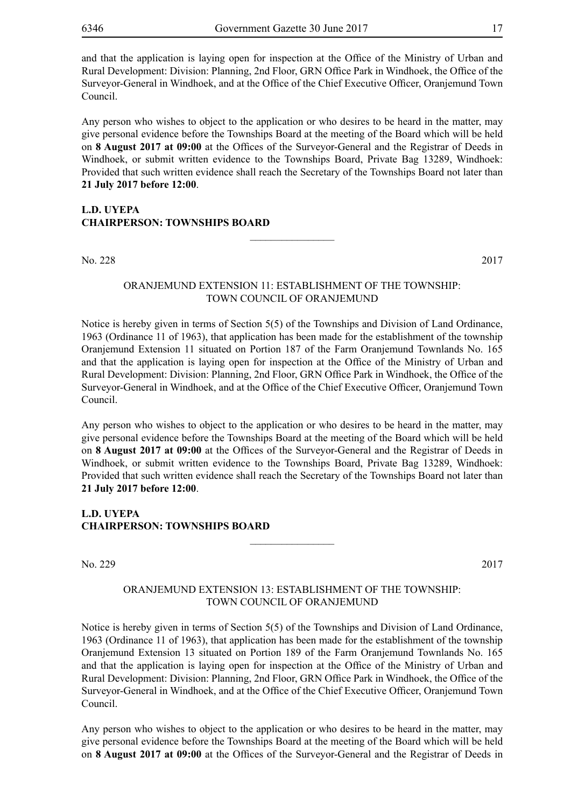and that the application is laying open for inspection at the Office of the Ministry of Urban and Rural Development: Division: Planning, 2nd Floor, GRN Office Park in Windhoek, the Office of the Surveyor-General in Windhoek, and at the Office of the Chief Executive Officer, Oranjemund Town Council.

Any person who wishes to object to the application or who desires to be heard in the matter, may give personal evidence before the Townships Board at the meeting of the Board which will be held on **8 August 2017 at 09:00** at the Offices of the Surveyor-General and the Registrar of Deeds in Windhoek, or submit written evidence to the Townships Board, Private Bag 13289, Windhoek: Provided that such written evidence shall reach the Secretary of the Townships Board not later than **21 July 2017 before 12:00**.

#### **L.D. UYEPA CHAIRPERSON: TOWNSHIPS BOARD**

No. 228 2017

#### ORANJEMUND EXTENSION 11: ESTABLISHMENT OF THE TOWNSHIP: TOWN COUNCIL OF ORANJEMUND

 $\frac{1}{2}$ 

Notice is hereby given in terms of Section 5(5) of the Townships and Division of Land Ordinance, 1963 (Ordinance 11 of 1963), that application has been made for the establishment of the township Oranjemund Extension 11 situated on Portion 187 of the Farm Oranjemund Townlands No. 165 and that the application is laying open for inspection at the Office of the Ministry of Urban and Rural Development: Division: Planning, 2nd Floor, GRN Office Park in Windhoek, the Office of the Surveyor-General in Windhoek, and at the Office of the Chief Executive Officer, Oranjemund Town Council.

Any person who wishes to object to the application or who desires to be heard in the matter, may give personal evidence before the Townships Board at the meeting of the Board which will be held on **8 August 2017 at 09:00** at the Offices of the Surveyor-General and the Registrar of Deeds in Windhoek, or submit written evidence to the Townships Board, Private Bag 13289, Windhoek: Provided that such written evidence shall reach the Secretary of the Townships Board not later than **21 July 2017 before 12:00**.

#### **L.D. UYEPA CHAIRPERSON: TOWNSHIPS BOARD**

No. 229 2017

#### ORANJEMUND EXTENSION 13: ESTABLISHMENT OF THE TOWNSHIP: TOWN COUNCIL OF ORANJEMUND

 $\frac{1}{2}$ 

Notice is hereby given in terms of Section 5(5) of the Townships and Division of Land Ordinance, 1963 (Ordinance 11 of 1963), that application has been made for the establishment of the township Oranjemund Extension 13 situated on Portion 189 of the Farm Oranjemund Townlands No. 165 and that the application is laying open for inspection at the Office of the Ministry of Urban and Rural Development: Division: Planning, 2nd Floor, GRN Office Park in Windhoek, the Office of the Surveyor-General in Windhoek, and at the Office of the Chief Executive Officer, Oranjemund Town Council.

Any person who wishes to object to the application or who desires to be heard in the matter, may give personal evidence before the Townships Board at the meeting of the Board which will be held on **8 August 2017 at 09:00** at the Offices of the Surveyor-General and the Registrar of Deeds in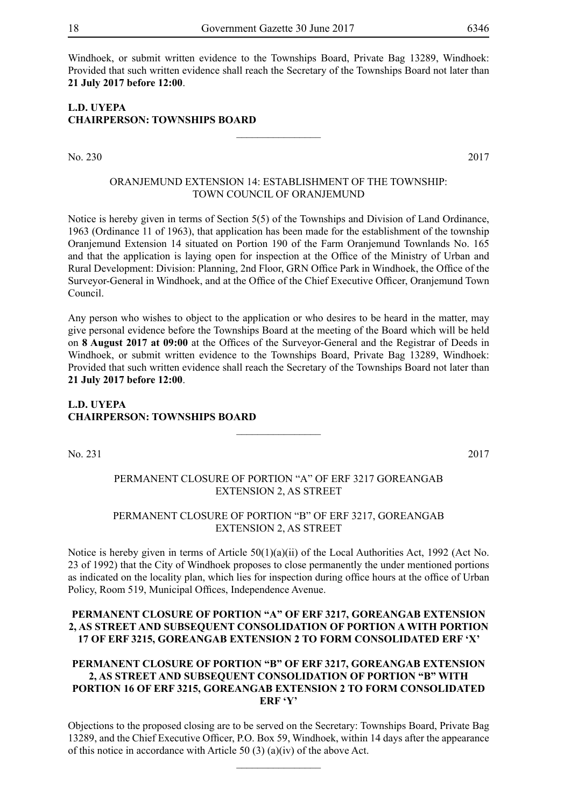Windhoek, or submit written evidence to the Townships Board, Private Bag 13289, Windhoek: Provided that such written evidence shall reach the Secretary of the Townships Board not later than **21 July 2017 before 12:00**.

#### **L.D. UYEPA CHAIRPERSON: TOWNSHIPS BOARD**

No. 230 2017

#### ORANJEMUND EXTENSION 14: ESTABLISHMENT OF THE TOWNSHIP: TOWN COUNCIL OF ORANJEMUND

 $\overline{\phantom{a}}$  , where  $\overline{\phantom{a}}$ 

Notice is hereby given in terms of Section 5(5) of the Townships and Division of Land Ordinance, 1963 (Ordinance 11 of 1963), that application has been made for the establishment of the township Oranjemund Extension 14 situated on Portion 190 of the Farm Oranjemund Townlands No. 165 and that the application is laying open for inspection at the Office of the Ministry of Urban and Rural Development: Division: Planning, 2nd Floor, GRN Office Park in Windhoek, the Office of the Surveyor-General in Windhoek, and at the Office of the Chief Executive Officer, Oranjemund Town Council.

Any person who wishes to object to the application or who desires to be heard in the matter, may give personal evidence before the Townships Board at the meeting of the Board which will be held on **8 August 2017 at 09:00** at the Offices of the Surveyor-General and the Registrar of Deeds in Windhoek, or submit written evidence to the Townships Board, Private Bag 13289, Windhoek: Provided that such written evidence shall reach the Secretary of the Townships Board not later than **21 July 2017 before 12:00**.

#### **L.D. UYEPA CHAIRPERSON: TOWNSHIPS BOARD**  $\overline{\phantom{a}}$  , where  $\overline{\phantom{a}}$

No. 231 2017

#### PERMANENT CLOSURE OF PORTION "A" OF ERF 3217 GOREANGAB EXTENSION 2, AS STREET

#### PERMANENT CLOSURE OF PORTION "B" OF ERF 3217, GOREANGAB EXTENSION 2, AS STREET

Notice is hereby given in terms of Article 50(1)(a)(ii) of the Local Authorities Act, 1992 (Act No. 23 of 1992) that the City of Windhoek proposes to close permanently the under mentioned portions as indicated on the locality plan, which lies for inspection during office hours at the office of Urban Policy, Room 519, Municipal Offices, Independence Avenue.

#### **PERMANENT CLOSURE OF PORTION "A" OF ERF 3217, GOREANGAB EXTENSION 2, AS STREET AND SUBSEQUENT CONSOLIDATION OF PORTION A WITH PORTION 17 OF ERF 3215, GOREANGAB EXTENSION 2 TO FORM CONSOLIDATED ERF 'X'**

#### **PERMANENT CLOSURE OF PORTION "B" OF ERF 3217, GOREANGAB EXTENSION 2, AS STREET AND SUBSEQUENT CONSOLIDATION OF PORTION "B" WITH PORTION 16 OF ERF 3215, GOREANGAB EXTENSION 2 TO FORM CONSOLIDATED ERF 'Y'**

Objections to the proposed closing are to be served on the Secretary: Townships Board, Private Bag 13289, and the Chief Executive Officer, P.O. Box 59, Windhoek, within 14 days after the appearance of this notice in accordance with Article 50 (3) (a)(iv) of the above Act.

 $\overline{\phantom{a}}$  , where  $\overline{\phantom{a}}$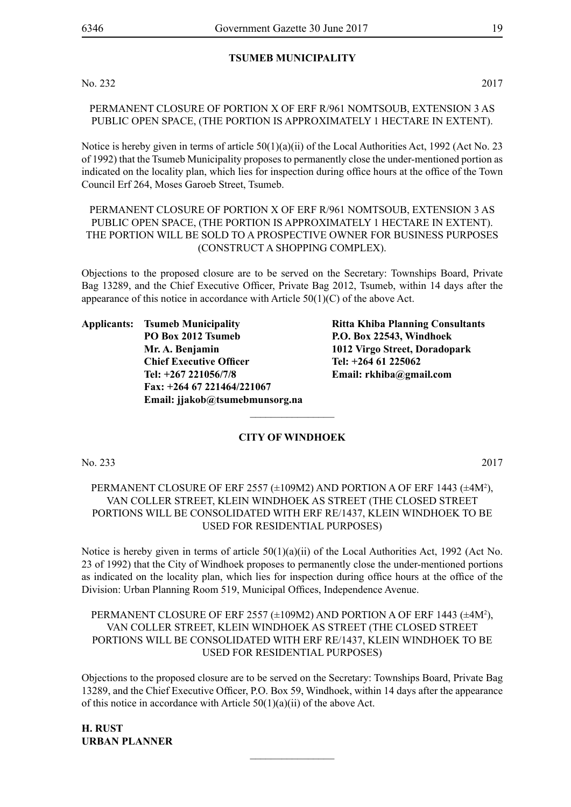#### **TSUMEB MUNICIPALITY**

No. 232 2017

PERMANENT CLOSURE OF PORTION X OF ERF R/961 NOMTSOUB, EXTENSION 3 AS PUBLIC OPEN SPACE, (THE PORTION IS APPROXIMATELY 1 HECTARE IN EXTENT).

Notice is hereby given in terms of article  $50(1)(a)(ii)$  of the Local Authorities Act, 1992 (Act No. 23) of 1992) that the Tsumeb Municipality proposes to permanently close the under-mentioned portion as indicated on the locality plan, which lies for inspection during office hours at the office of the Town Council Erf 264, Moses Garoeb Street, Tsumeb.

PERMANENT CLOSURE OF PORTION X OF ERF R/961 NOMTSOUB, EXTENSION 3 AS PUBLIC OPEN SPACE, (THE PORTION IS APPROXIMATELY 1 HECTARE IN EXTENT). THE PORTION WILL BE SOLD TO A PROSPECTIVE OWNER FOR BUSINESS PURPOSES (CONSTRUCT A SHOPPING COMPLEX).

Objections to the proposed closure are to be served on the Secretary: Townships Board, Private Bag 13289, and the Chief Executive Officer, Private Bag 2012, Tsumeb, within 14 days after the appearance of this notice in accordance with Article  $50(1)(C)$  of the above Act.

**Applicants: Tsumeb Municipality Ritta Khiba Planning Consultants PO Box 2012 Tsumeb P.O. Box 22543, Windhoek Mr. A. Benjamin 1012 Virgo Street, Doradopark Chief Executive Officer Tel: +264 61 225062 Tel: +267 221056/7/8 Email: rkhiba@gmail.com Fax: +264 67 221464/221067 Email: jjakob@tsumebmunsorg.na**

#### **CITY OF WINDHOEK**

 $\overline{\phantom{a}}$  , where  $\overline{\phantom{a}}$ 

No. 233 2017

#### PERMANENT CLOSURE OF ERF 2557 (±109M2) AND PORTION A OF ERF 1443 (±4M2 ), VAN COLLER STREET, KLEIN WINDHOEK AS STREET (THE CLOSED STREET PORTIONS WILL BE CONSOLIDATED WITH ERF RE/1437, KLEIN WINDHOEK TO BE USED FOR RESIDENTIAL PURPOSES)

Notice is hereby given in terms of article 50(1)(a)(ii) of the Local Authorities Act, 1992 (Act No. 23 of 1992) that the City of Windhoek proposes to permanently close the under-mentioned portions as indicated on the locality plan, which lies for inspection during office hours at the office of the Division: Urban Planning Room 519, Municipal Offices, Independence Avenue.

#### PERMANENT CLOSURE OF ERF 2557 (±109M2) AND PORTION A OF ERF 1443 (±4M<sup>2</sup>), VAN COLLER STREET, KLEIN WINDHOEK AS STREET (THE CLOSED STREET PORTIONS WILL BE CONSOLIDATED WITH ERF RE/1437, KLEIN WINDHOEK TO BE USED FOR RESIDENTIAL PURPOSES)

Objections to the proposed closure are to be served on the Secretary: Townships Board, Private Bag 13289, and the Chief Executive Officer, P.O. Box 59, Windhoek, within 14 days after the appearance of this notice in accordance with Article  $50(1)(a)(ii)$  of the above Act.

 $\frac{1}{2}$ 

**H. RUST URBAN PLANNER**